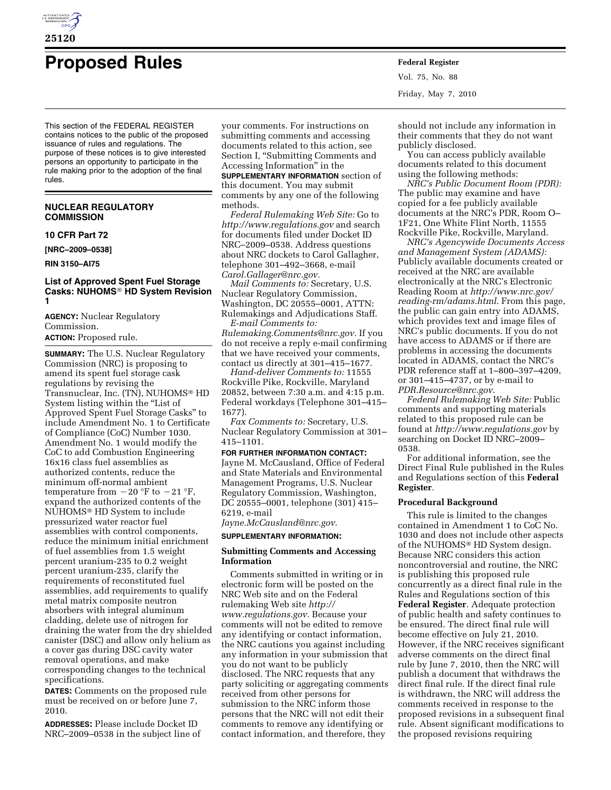

# **Proposed Rules Federal Register**

This section of the FEDERAL REGISTER contains notices to the public of the proposed issuance of rules and regulations. The purpose of these notices is to give interested persons an opportunity to participate in the rule making prior to the adoption of the final rules.

# **NUCLEAR REGULATORY COMMISSION**

## **10 CFR Part 72**

**[NRC–2009–0538]** 

**RIN 3150–AI75** 

## **List of Approved Spent Fuel Storage Casks: NUHOMS**® **HD System Revision 1**

**AGENCY:** Nuclear Regulatory Commission. **ACTION:** Proposed rule.

**SUMMARY:** The U.S. Nuclear Regulatory Commission (NRC) is proposing to amend its spent fuel storage cask regulations by revising the Transnuclear, Inc. (TN), NUHOMS® HD System listing within the "List of Approved Spent Fuel Storage Casks'' to include Amendment No. 1 to Certificate of Compliance (CoC) Number 1030. Amendment No. 1 would modify the CoC to add Combustion Engineering 16x16 class fuel assemblies as authorized contents, reduce the minimum off-normal ambient temperature from  $-20$  °F to  $-21$  °F, expand the authorized contents of the NUHOMS® HD System to include pressurized water reactor fuel assemblies with control components, reduce the minimum initial enrichment of fuel assemblies from 1.5 weight percent uranium-235 to 0.2 weight percent uranium-235, clarify the requirements of reconstituted fuel assemblies, add requirements to qualify metal matrix composite neutron absorbers with integral aluminum cladding, delete use of nitrogen for draining the water from the dry shielded canister (DSC) and allow only helium as a cover gas during DSC cavity water removal operations, and make corresponding changes to the technical specifications.

**DATES:** Comments on the proposed rule must be received on or before June 7, 2010.

**ADDRESSES:** Please include Docket ID NRC–2009–0538 in the subject line of your comments. For instructions on submitting comments and accessing documents related to this action, see Section I, "Submitting Comments and Accessing Information'' in the

**SUPPLEMENTARY INFORMATION** section of this document. You may submit comments by any one of the following methods.

*Federal Rulemaking Web Site:* Go to *http://www.regulations.gov* and search for documents filed under Docket ID NRC–2009–0538. Address questions about NRC dockets to Carol Gallagher, telephone 301–492–3668, e-mail *Carol.Gallager@nrc.gov.* 

*Mail Comments to:* Secretary, U.S. Nuclear Regulatory Commission, Washington, DC 20555–0001, ATTN: Rulemakings and Adjudications Staff.

*E-mail Comments to: Rulemaking.Comments@nrc.gov.* If you do not receive a reply e-mail confirming that we have received your comments, contact us directly at 301–415–1677.

*Hand-deliver Comments to:* 11555 Rockville Pike, Rockville, Maryland 20852, between 7:30 a.m. and 4:15 p.m. Federal workdays (Telephone 301–415– 1677).

*Fax Comments to:* Secretary, U.S. Nuclear Regulatory Commission at 301– 415–1101.

# **FOR FURTHER INFORMATION CONTACT:**  Jayne M. McCausland, Office of Federal and State Materials and Environmental Management Programs, U.S. Nuclear Regulatory Commission, Washington, DC 20555–0001, telephone (301) 415– 6219, e-mail

*Jayne.McCausland@nrc.gov*.

## **SUPPLEMENTARY INFORMATION:**

# **Submitting Comments and Accessing Information**

Comments submitted in writing or in electronic form will be posted on the NRC Web site and on the Federal rulemaking Web site *http:// www.regulations.gov.* Because your comments will not be edited to remove any identifying or contact information, the NRC cautions you against including any information in your submission that you do not want to be publicly disclosed. The NRC requests that any party soliciting or aggregating comments received from other persons for submission to the NRC inform those persons that the NRC will not edit their comments to remove any identifying or contact information, and therefore, they

Vol. 75, No. 88 Friday, May 7, 2010

should not include any information in their comments that they do not want publicly disclosed.

You can access publicly available documents related to this document using the following methods:

*NRC's Public Document Room (PDR):*  The public may examine and have copied for a fee publicly available documents at the NRC's PDR, Room O– 1F21, One White Flint North, 11555 Rockville Pike, Rockville, Maryland.

*NRC's Agencywide Documents Access and Management System (ADAMS):*  Publicly available documents created or received at the NRC are available electronically at the NRC's Electronic Reading Room at *http://www.nrc.gov/ reading-rm/adams.html*. From this page, the public can gain entry into ADAMS, which provides text and image files of NRC's public documents. If you do not have access to ADAMS or if there are problems in accessing the documents located in ADAMS, contact the NRC's PDR reference staff at 1–800–397–4209, or 301–415–4737, or by e-mail to *PDR.Resource@nrc.gov*.

*Federal Rulemaking Web Site:* Public comments and supporting materials related to this proposed rule can be found at *http://www.regulations.gov* by searching on Docket ID NRC–2009– 0538.

For additional information, see the Direct Final Rule published in the Rules and Regulations section of this **Federal Register**.

#### **Procedural Background**

This rule is limited to the changes contained in Amendment 1 to CoC No. 1030 and does not include other aspects of the NUHOMS® HD System design. Because NRC considers this action noncontroversial and routine, the NRC is publishing this proposed rule concurrently as a direct final rule in the Rules and Regulations section of this **Federal Register**. Adequate protection of public health and safety continues to be ensured. The direct final rule will become effective on July 21, 2010. However, if the NRC receives significant adverse comments on the direct final rule by June 7, 2010, then the NRC will publish a document that withdraws the direct final rule. If the direct final rule is withdrawn, the NRC will address the comments received in response to the proposed revisions in a subsequent final rule. Absent significant modifications to the proposed revisions requiring